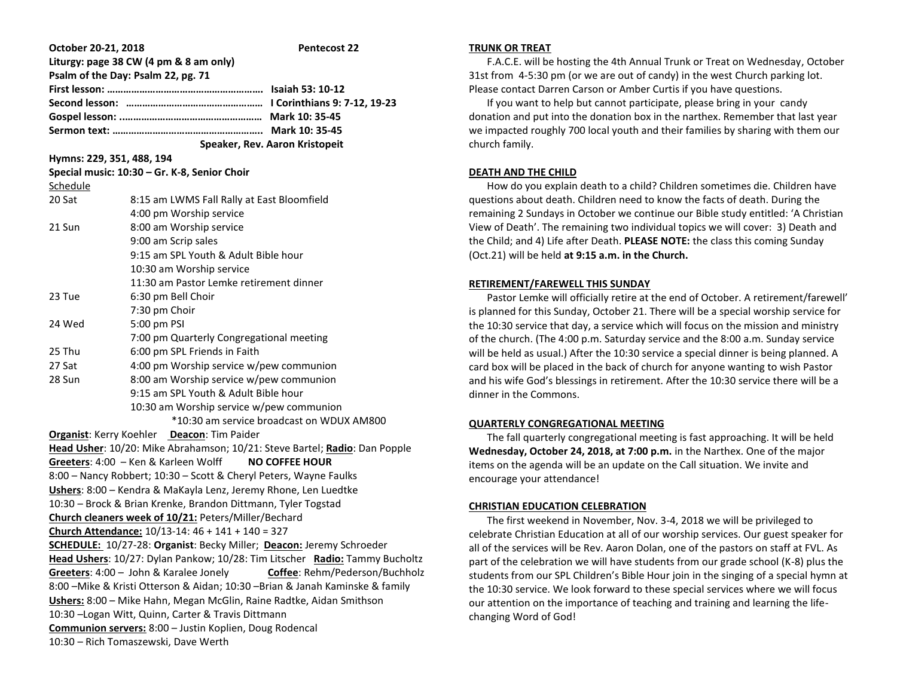| October 20-21, 2018                                                                                                              | <b>Pentecost 22</b>                          |
|----------------------------------------------------------------------------------------------------------------------------------|----------------------------------------------|
| Liturgy: page 38 CW (4 pm & 8 am only)                                                                                           |                                              |
|                                                                                                                                  | Psalm of the Day: Psalm 22, pg. 71           |
|                                                                                                                                  |                                              |
|                                                                                                                                  |                                              |
|                                                                                                                                  |                                              |
|                                                                                                                                  |                                              |
|                                                                                                                                  | Speaker, Rev. Aaron Kristopeit               |
| Hymns: 229, 351, 488, 194                                                                                                        |                                              |
|                                                                                                                                  | Special music: 10:30 - Gr. K-8, Senior Choir |
| Schedule                                                                                                                         |                                              |
| 20 Sat                                                                                                                           | 8:15 am LWMS Fall Rally at East Bloomfield   |
|                                                                                                                                  | 4:00 pm Worship service                      |
| 21 Sun                                                                                                                           | 8:00 am Worship service                      |
|                                                                                                                                  | 9:00 am Scrip sales                          |
|                                                                                                                                  | 9:15 am SPL Youth & Adult Bible hour         |
|                                                                                                                                  | 10:30 am Worship service                     |
|                                                                                                                                  | 11:30 am Pastor Lemke retirement dinner      |
| 23 Tue                                                                                                                           | 6:30 pm Bell Choir                           |
|                                                                                                                                  | 7:30 pm Choir                                |
| 24 Wed                                                                                                                           | 5:00 pm PSI                                  |
|                                                                                                                                  | 7:00 pm Quarterly Congregational meeting     |
| 25 Thu                                                                                                                           | 6:00 pm SPL Friends in Faith                 |
| 27 Sat                                                                                                                           | 4:00 pm Worship service w/pew communion      |
| 28 Sun                                                                                                                           | 8:00 am Worship service w/pew communion      |
|                                                                                                                                  | 9:15 am SPL Youth & Adult Bible hour         |
|                                                                                                                                  | 10:30 am Worship service w/pew communion     |
| *10:30 am service broadcast on WDUX AM800                                                                                        |                                              |
| Organist: Kerry Koehler Deacon: Tim Paider                                                                                       |                                              |
| Head Usher: 10/20: Mike Abrahamson; 10/21: Steve Bartel; Radio: Dan Popple<br>Greeters: 4:00 - Ken & Karleen Wolff               |                                              |
|                                                                                                                                  | <b>NO COFFEE HOUR</b>                        |
| 8:00 - Nancy Robbert; 10:30 - Scott & Cheryl Peters, Wayne Faulks                                                                |                                              |
| Ushers: 8:00 - Kendra & MaKayla Lenz, Jeremy Rhone, Len Luedtke<br>10:30 - Brock & Brian Krenke, Brandon Dittmann, Tyler Togstad |                                              |
| Church cleaners week of 10/21: Peters/Miller/Bechard                                                                             |                                              |
| Church Attendance: 10/13-14: 46 + 141 + 140 = 327                                                                                |                                              |
| SCHEDULE: 10/27-28: Organist: Becky Miller; Deacon: Jeremy Schroeder                                                             |                                              |
| Head Ushers: 10/27: Dylan Pankow; 10/28: Tim Litscher Radio: Tammy Bucholtz                                                      |                                              |
| Greeters: 4:00 - John & Karalee Jonely<br>Coffee: Rehm/Pederson/Buchholz                                                         |                                              |
| 8:00 – Mike & Kristi Otterson & Aidan; 10:30 – Brian & Janah Kaminske & family                                                   |                                              |
| Ushers: 8:00 - Mike Hahn, Megan McGlin, Raine Radtke, Aidan Smithson                                                             |                                              |
| 10:30 - Logan Witt, Quinn, Carter & Travis Dittmann                                                                              |                                              |
| Communion servers: 8:00 - Justin Koplien, Doug Rodencal                                                                          |                                              |
| 10:30 - Rich Tomaszewski, Dave Werth                                                                                             |                                              |
|                                                                                                                                  |                                              |

### **TRUNK OR TREAT**

 F.A.C.E. will be hosting the 4th Annual Trunk or Treat on Wednesday, October 31st from 4-5:30 pm (or we are out of candy) in the west Church parking lot. Please contact Darren Carson or Amber Curtis if you have questions.

 If you want to help but cannot participate, please bring in your candy donation and put into the donation box in the narthex. Remember that last year we impacted roughly 700 local youth and their families by sharing with them our church family.

## **DEATH AND THE CHILD**

 How do you explain death to a child? Children sometimes die. Children have questions about death. Children need to know the facts of death. During the remaining 2 Sundays in October we continue our Bible study entitled: 'A Christian View of Death'. The remaining two individual topics we will cover: 3) Death and the Child; and 4) Life after Death. **PLEASE NOTE:** the class this coming Sunday (Oct.21) will be held **at 9:15 a.m. in the Church.**

### **RETIREMENT/FAREWELL THIS SUNDAY**

 Pastor Lemke will officially retire at the end of October. A retirement/farewell' is planned for this Sunday, October 21. There will be a special worship service for the 10:30 service that day, a service which will focus on the mission and ministry of the church. (The 4:00 p.m. Saturday service and the 8:00 a.m. Sunday service will be held as usual.) After the 10:30 service a special dinner is being planned. A card box will be placed in the back of church for anyone wanting to wish Pastor and his wife God's blessings in retirement. After the 10:30 service there will be a dinner in the Commons.

# **QUARTERLY CONGREGATIONAL MEETING**

 The fall quarterly congregational meeting is fast approaching. It will be held **Wednesday, October 24, 2018, at 7:00 p.m.** in the Narthex. One of the major items on the agenda will be an update on the Call situation. We invite and encourage your attendance!

# **CHRISTIAN EDUCATION CELEBRATION**

 The first weekend in November, Nov. 3-4, 2018 we will be privileged to celebrate Christian Education at all of our worship services. Our guest speaker for all of the services will be Rev. Aaron Dolan, one of the pastors on staff at FVL. As part of the celebration we will have students from our grade school (K-8) plus the students from our SPL Children's Bible Hour join in the singing of a special hymn at the 10:30 service. We look forward to these special services where we will focus our attention on the importance of teaching and training and learning the lifechanging Word of God!